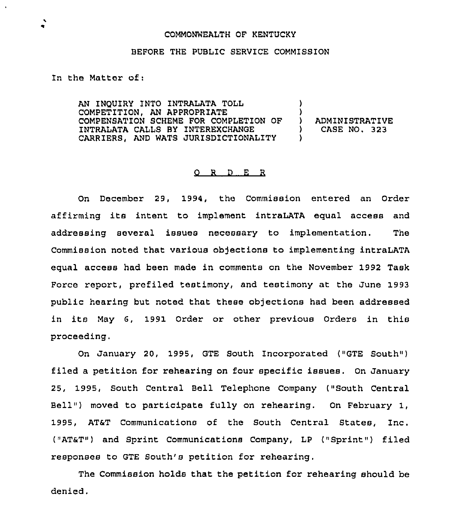## COMMONWEALTH OF KENTUCKY

## BEFORE THE PUBLIC SERVICE COMMISSION

In the Matter of:

AN INQUIRY INTO INTRALATA TOLL COMPETITION, AN APPROPRIATE COMPENSATION SCHEME FOR COMPLETION OF INTRALATA CALLS BY INTEREXCHANGE CARRIERS, AND WATS JURISDICTIONALITY )  $\left\{ \right\}$ ) ADMINISTRATIVE<br>) CASE NO. 323 ) CASE NO. 323  $\mathcal{L}$ 

## 0 <sup>R</sup> <sup>D</sup> E <sup>R</sup>

On December 29, 1994, the Commission entered an Order affirming its intent to implement intraLATA equal access and addressing several issues necessary to implementation. The Commission noted that various objections to implementing intraLATA equal access had been made in comments on the November 1992 Task Force report, prefiled testimony, and testimony at the June 1993 public hearing but noted that these objections had been addressed in its May 6, 1991 Order or other previous Orders in this proceeding.

On January 20, 1995, GTE South Incorporated ("GTE South" ) filed a petition for rehearing on four specific issues. On January 25, 1995, South Central Bell Telephone Company ("South Central Bell") moved to participate fully on rehearing. On February 1, 1995, AT&T Communications of the South Central States, Inc. ("AT&T") and Sprint Communications Company, LP ("Sprint") filed responses to GTE South's petition for rehearing.

The Commission holds that the petition for rehearing should be denied.

 $\bullet$ ٠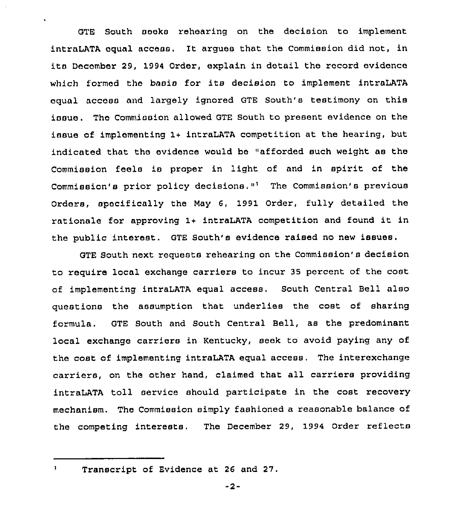GTE South seeks rehearing on the decision to implement intraLATA equal access, It argues that the Commission did not, in its December 29, 1994 Order, explain in detail the record evidence which formed the basis for its decision to implement intraLATA equal access and largely ignored GTE South's testimony on this issue. The Commission allowed GTE South to present evidence on the issue of implementing 1+ intraLATA competition at the hearing, but indicated that the evidence would be "afforded such weight as the Commission feels is proper in light of and in spirit of the Commission's prior policy decisions."<sup>1</sup> The Commission's previous Orders, specifically the May 6, 1991 Order, fully detailed the rationale for approving 1+ intraLATA competition and found it in the public interest. GTE South's evidence raised no new issues.

GTE South next requests rehearing on the Commission's decision to require local exchange carriers to incur 35 percent of the cost of implementing intraLATA equal access. South Central Bell also questions the assumption that underlies the cost of sharing formula. GTE South and South Central Bell, as the predominant local exchange carriers in Kentucky, seek to avoid paying any of the cost of implementing intraLATA equal access. The interexchange carriers, on the other hand, claimed that all carriers providing intraLATA toll service should participate in the cost recovery mechanism. The Commission simply fashioned a reasonable balance of the competing interests. The December 29, 1994 Order reflects

 $\mathbf{1}$ 

 $\ddot{\phantom{0}}$ 

Transcript of Evidence at 26 and 27.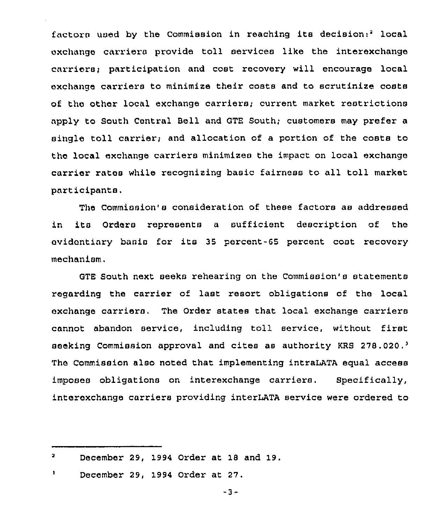factors used by the Commission in reaching its decision:" local exchange carriers provide toll services like the interexchange carrierot participation and cost recovery will encourage local exchanqe carriers to minimize their costs and to scrutinize costs of the other local exchange carriers; current market restrictions apply to South Central Bell and GTE South; customers may prefer a single toll carrier; and allocation of a portion of the costs to the local exchange carriers minimizes the impact on local exchange carrier rates while recognizing basic fairness to all toll market participants.

The Commission's consideration of these factors as addressed in its Orders represents <sup>a</sup> sufficient description of the evidentiary basis for its <sup>35</sup> percent-65 percent coot recovary mechanism.

GTE South next seeks rehearing on the Commission's statements reqarding the carrier of last resort obligations of the local exchange carriers. The Order states that local exchange carriers cannot abandon service, including toll service, without first seeking Commission approval and cites as authority KRS 278.020.<sup>3</sup> The Commission also noted that implementing intraLATA equal access imposes obligations on interexchange carriers. Specifically, interexchange carriers providing interLATA service were ordered to

 $\mathbf{a}$ December 29, 1994 Order at 18 and 19.

 $\mathbf{I}$ December 29, 1994 Order at 27.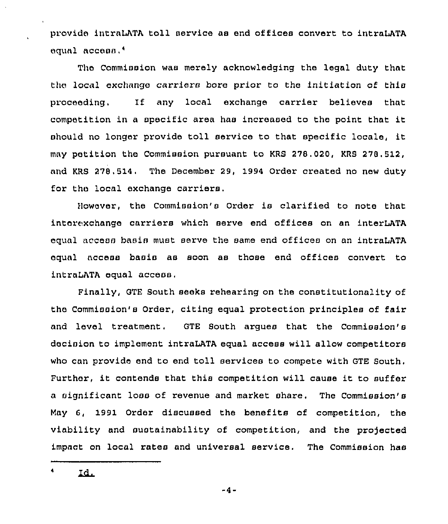provide intraLATA toll service as end offices convert to intraLATA equal access.<sup>4</sup>

The Commission was merely acknowledging the legal duty that the local exchange carriers bore prior to the initiation of this proceeding. 1f any local exchange carrier believes that competition in <sup>a</sup> specific area has increased to the point that it should no longer provide toll service to that specific locale, it may petition the Commission pursuant to KRS 278.020, KRS 278.512, and KRS 278.514. The December 29, 1994 Order created no new duty for tho local exchange carriers.

)lowever, the Commission's Order is clarified to note that interexchange carriers which serve end offices on an interLATA equal access basis must serve the same end offices on an intraLATA equal access basis as soon as those end offices convert to intraLATA equal access.

Finally, GTE South seeks rehearing on the constitutionality of the Commission's Order, citing equal protection principles of fair and level treatment. GTE South argues that the Commission's decision to implement intraLATA equal access will allow competitors who can provide end to end toll services to compete with GTE South. Further, it contends that this competition will cause it to suffer a significant loss of revenue and market share, The Commission's May 6, 1991 Order discussed the benefits of competition, the viability and sustainability of competition, and the projected impact on local rates and universal service. The Commission has

4 Id.

 $-4-$